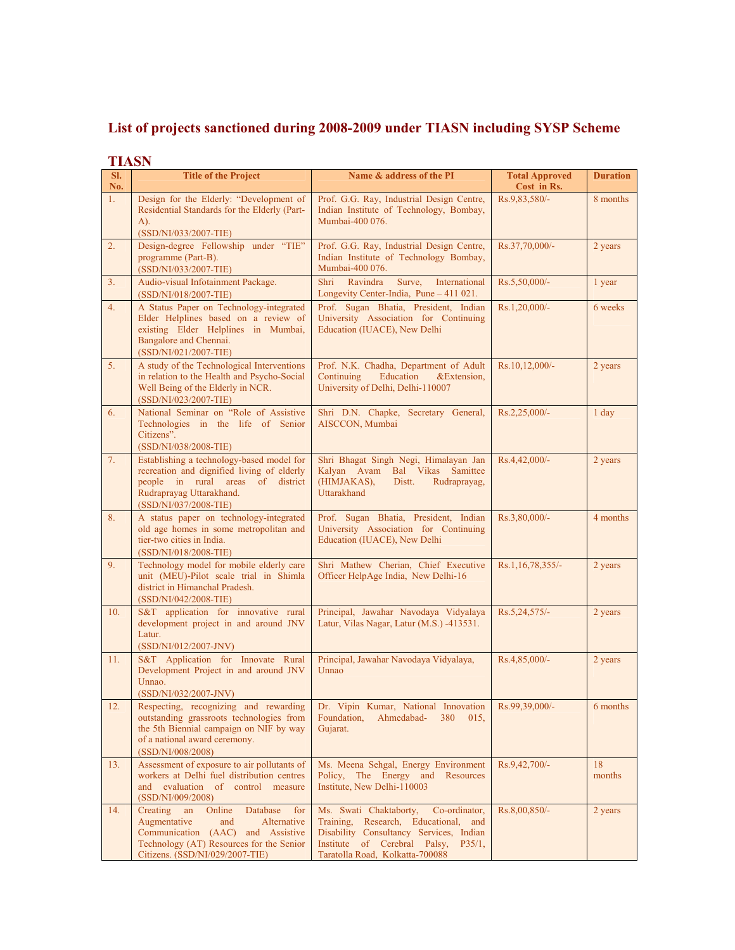## **List of projects sanctioned during 2008-2009 under TIASN including SYSP Scheme**

| SI.<br>No. | <b>LUNDI</b><br><b>Title of the Project</b>                                                                                                                                                           | Name & address of the PI                                                                                                                                                                                   | <b>Total Approved</b><br>Cost in Rs. | <b>Duration</b> |
|------------|-------------------------------------------------------------------------------------------------------------------------------------------------------------------------------------------------------|------------------------------------------------------------------------------------------------------------------------------------------------------------------------------------------------------------|--------------------------------------|-----------------|
| 1.         | Design for the Elderly: "Development of<br>Residential Standards for the Elderly (Part-<br>A).<br>(SSD/NI/033/2007-TIE)                                                                               | Prof. G.G. Ray, Industrial Design Centre,<br>Indian Institute of Technology, Bombay,<br>Mumbai-400 076.                                                                                                    | Rs.9.83.580/-                        | 8 months        |
| 2.         | Design-degree Fellowship under "TIE"<br>programme (Part-B).<br>(SSD/NI/033/2007-TIE)                                                                                                                  | Prof. G.G. Ray, Industrial Design Centre,<br>Indian Institute of Technology Bombay,<br>Mumbai-400 076.                                                                                                     | Rs.37,70,000/-                       | 2 years         |
| 3.         | Audio-visual Infotainment Package.<br>(SSD/NI/018/2007-TIE)                                                                                                                                           | Shri<br>Ravindra<br>Surve,<br>International<br>Longevity Center-India, Pune - 411 021.                                                                                                                     | Rs.5,50,000/-                        | 1 year          |
| 4.         | A Status Paper on Technology-integrated<br>Elder Helplines based on a review of<br>existing Elder Helplines in Mumbai,<br>Bangalore and Chennai.<br>(SSD/NI/021/2007-TIE)                             | Prof. Sugan Bhatia, President, Indian<br>University Association for Continuing<br>Education (IUACE), New Delhi                                                                                             | Rs.1,20,000/-                        | 6 weeks         |
| 5.         | A study of the Technological Interventions<br>in relation to the Health and Psycho-Social<br>Well Being of the Elderly in NCR.<br>(SSD/NI/023/2007-TIE)                                               | Prof. N.K. Chadha, Department of Adult<br>Education<br>Continuing<br>&Extension,<br>University of Delhi, Delhi-110007                                                                                      | $Rs.10,12,000/-$                     | 2 years         |
| 6.         | National Seminar on "Role of Assistive<br>Technologies in the life of Senior<br>Citizens".<br>(SSD/NI/038/2008-TIE)                                                                                   | Shri D.N. Chapke, Secretary General,<br>AISCCON, Mumbai                                                                                                                                                    | Rs.2,25,000/-                        | $1$ day         |
| 7.         | Establishing a technology-based model for<br>recreation and dignified living of elderly<br>people in rural areas of district<br>Rudraprayag Uttarakhand.<br>(SSD/NI/037/2008-TIE)                     | Shri Bhagat Singh Negi, Himalayan Jan<br>Kalyan Avam Bal Vikas Samittee<br>(HIMJAKAS),<br>Distt.<br>Rudraprayag,<br>Uttarakhand                                                                            | Rs.4,42,000/-                        | 2 years         |
| 8.         | A status paper on technology-integrated<br>old age homes in some metropolitan and<br>tier-two cities in India.<br>(SSD/NI/018/2008-TIE)                                                               | Prof. Sugan Bhatia, President, Indian<br>University Association for Continuing<br>Education (IUACE), New Delhi                                                                                             | Rs.3,80,000/-                        | 4 months        |
| 9.         | Technology model for mobile elderly care<br>unit (MEU)-Pilot scale trial in Shimla<br>district in Himanchal Pradesh.<br>$(SSD/NI/042/2008-TIE)$                                                       | Shri Mathew Cherian, Chief Executive<br>Officer HelpAge India, New Delhi-16                                                                                                                                | Rs.1,16,78,355/-                     | 2 years         |
| 10.        | S&T application for innovative rural<br>development project in and around JNV<br>Latur.<br>(SSD/NI/012/2007-JNV)                                                                                      | Principal, Jawahar Navodaya Vidyalaya<br>Latur, Vilas Nagar, Latur (M.S.) -413531.                                                                                                                         | Rs.5,24,575/-                        | 2 years         |
| 11.        | S&T Application for Innovate Rural<br>Development Project in and around JNV<br>Unnao.<br>(SSD/NI/032/2007-JNV)                                                                                        | Principal, Jawahar Navodaya Vidyalaya,<br>Unnao                                                                                                                                                            | Rs.4,85,000/-                        | 2 years         |
| 12.        | Respecting, recognizing and rewarding<br>outstanding grassroots technologies from<br>the 5th Biennial campaign on NIF by way<br>of a national award ceremony.<br>(SSD/NI/008/2008)                    | Dr. Vipin Kumar, National Innovation<br>380<br>Foundation,<br>Ahmedabad-<br>015,<br>Gujarat.                                                                                                               | Rs.99,39,000/-                       | 6 months        |
| 13.        | Assessment of exposure to air pollutants of<br>workers at Delhi fuel distribution centres<br>and evaluation of control measure<br>(SSD/NI/009/2008)                                                   | Ms. Meena Sehgal, Energy Environment<br>Policy, The Energy and Resources<br>Institute, New Delhi-110003                                                                                                    | Rs.9,42,700/-                        | 18<br>months    |
| 14.        | Creating<br>Online<br>an<br>Database<br>for<br>Augmentative<br>and<br>Alternative<br>Communication (AAC) and Assistive<br>Technology (AT) Resources for the Senior<br>Citizens. (SSD/NI/029/2007-TIE) | Ms. Swati Chaktaborty,<br>Co-ordinator,<br>Training, Research, Educational, and<br>Disability Consultancy Services, Indian<br>Institute of Cerebral Palsy,<br>$P35/1$ ,<br>Taratolla Road, Kolkatta-700088 | Rs.8,00,850/-                        | 2 years         |

## **TIASN**